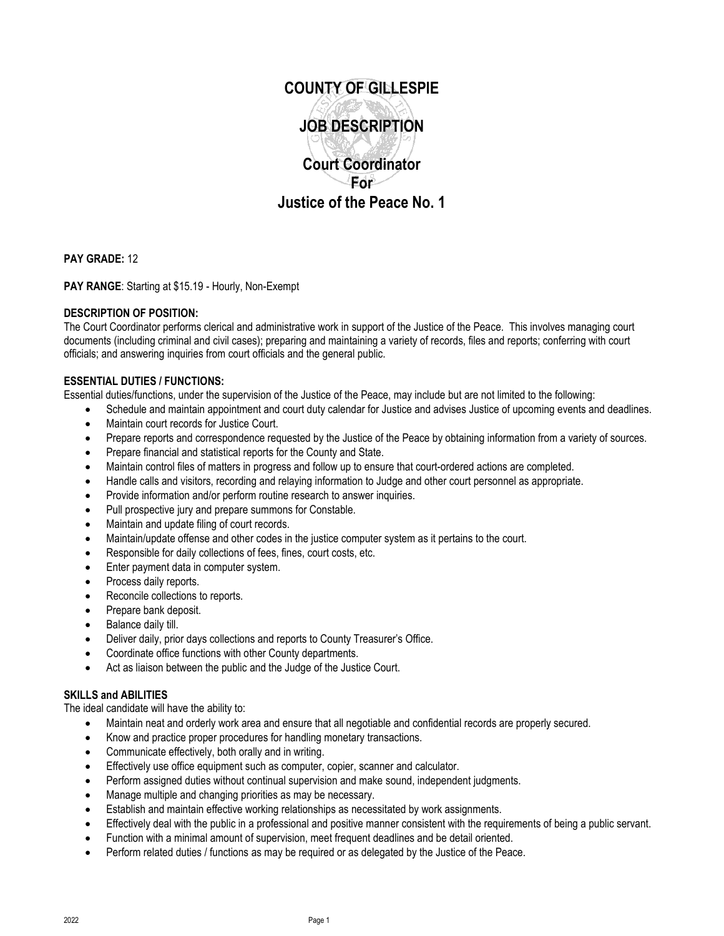

**PAY GRADE:** 12

**PAY RANGE**: Starting at \$15.19 - Hourly, Non-Exempt

## **DESCRIPTION OF POSITION:**

The Court Coordinator performs clerical and administrative work in support of the Justice of the Peace. This involves managing court documents (including criminal and civil cases); preparing and maintaining a variety of records, files and reports; conferring with court officials; and answering inquiries from court officials and the general public.

### **ESSENTIAL DUTIES / FUNCTIONS:**

Essential duties/functions, under the supervision of the Justice of the Peace, may include but are not limited to the following:

- Schedule and maintain appointment and court duty calendar for Justice and advises Justice of upcoming events and deadlines.
- Maintain court records for Justice Court.
- Prepare reports and correspondence requested by the Justice of the Peace by obtaining information from a variety of sources.
- Prepare financial and statistical reports for the County and State.
- Maintain control files of matters in progress and follow up to ensure that court-ordered actions are completed.
- Handle calls and visitors, recording and relaying information to Judge and other court personnel as appropriate.
- Provide information and/or perform routine research to answer inquiries.
- Pull prospective jury and prepare summons for Constable.
- Maintain and update filing of court records.
- Maintain/update offense and other codes in the justice computer system as it pertains to the court.
- Responsible for daily collections of fees, fines, court costs, etc.
- Enter payment data in computer system.
- Process daily reports.
- Reconcile collections to reports.
- Prepare bank deposit.
- Balance daily till.
- Deliver daily, prior days collections and reports to County Treasurer's Office.
- Coordinate office functions with other County departments.
- Act as liaison between the public and the Judge of the Justice Court.

#### **SKILLS and ABILITIES**

The ideal candidate will have the ability to:

- Maintain neat and orderly work area and ensure that all negotiable and confidential records are properly secured.
- Know and practice proper procedures for handling monetary transactions.
- Communicate effectively, both orally and in writing.
- Effectively use office equipment such as computer, copier, scanner and calculator.
- Perform assigned duties without continual supervision and make sound, independent judgments.
- Manage multiple and changing priorities as may be necessary.
- Establish and maintain effective working relationships as necessitated by work assignments.
- Effectively deal with the public in a professional and positive manner consistent with the requirements of being a public servant.
- Function with a minimal amount of supervision, meet frequent deadlines and be detail oriented.
- Perform related duties / functions as may be required or as delegated by the Justice of the Peace.